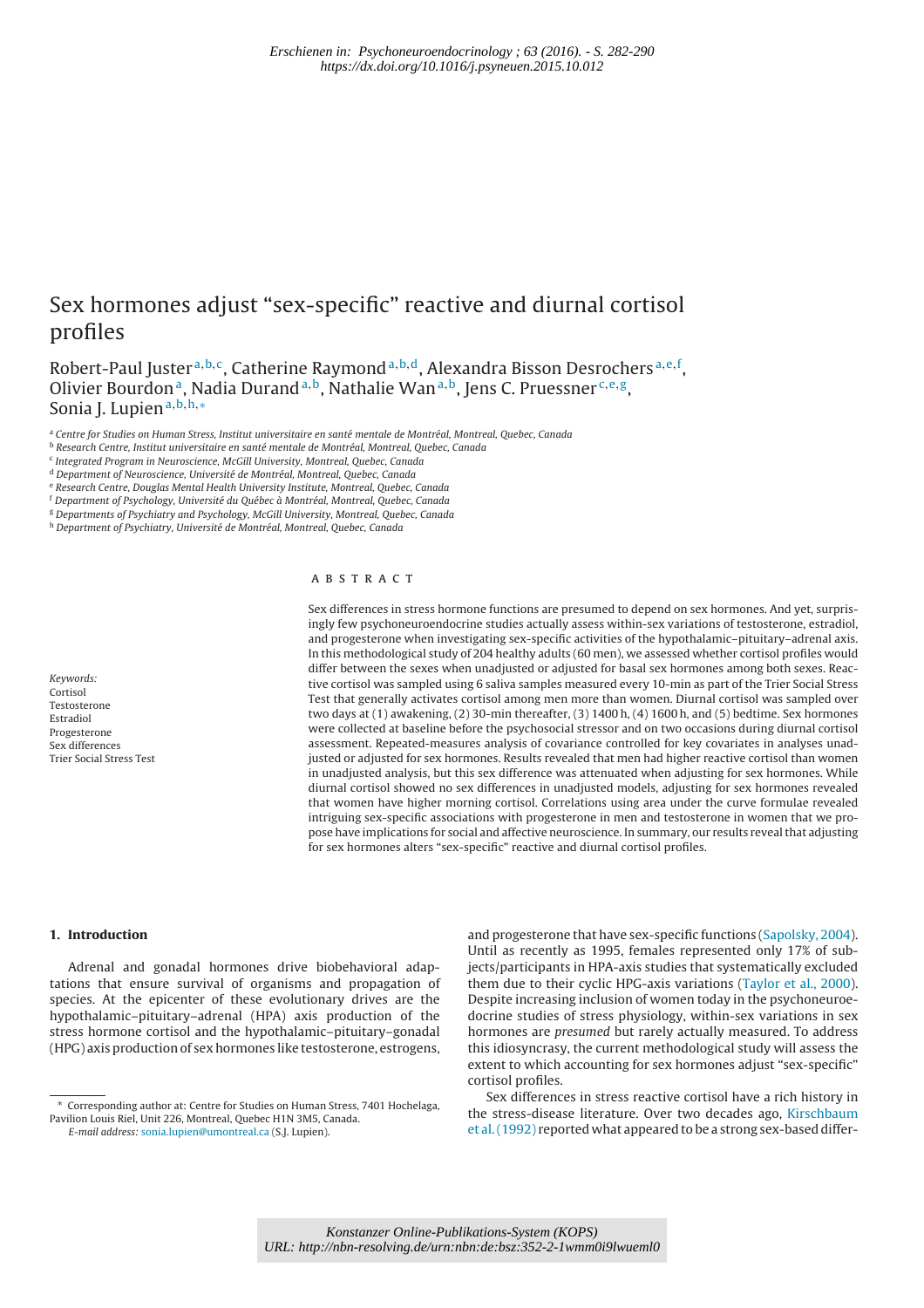# Sex hormones adjust "sex-specific" reactive and diurnal cortisol profiles

Robert-Paul Juster <sup>a, b, c</sup>, Catherine Raymond <sup>a, b, d</sup>, Alexandra Bisson Desrochers <sup>a, e, f</sup>, Olivier Bourdon<sup>a</sup>, Nadia Durand<sup>a,b</sup>, Nathalie Wan<sup>a,b</sup>, Jens C. Pruessner<sup>c,e,g</sup>, Sonia J. Lupien<sup>a,b,h,∗</sup>

<sup>a</sup> Centre for Studies on Human Stress, Institut universitaire en santé mentale de Montréal, Montreal, Quebec, Canada

- <sup>e</sup> Research Centre, Douglas Mental Health University Institute, Montreal, Quebec, Canada
- <sup>f</sup> Department of Psychology, Université du Québec à Montréal, Montreal, Quebec, Canada
- <sup>g</sup> Departments of Psychiatry and Psychology, McGill University, Montreal, Quebec, Canada

h Department of Psychiatry, Université de Montréal, Montreal, Quebec, Canada

#### A B S T R A C T

Keywords: Cortisol Testosterone Estradiol Progesterone Sex differences Trier Social Stress Test Sex differences in stress hormone functions are presumed to depend on sex hormones. And yet, surprisingly few psychoneuroendocrine studies actually assess within-sex variations of testosterone, estradiol, and progesterone when investigating sex-specific activities of the hypothalamic–pituitary–adrenal axis. In this methodological study of 204 healthy adults (60 men), we assessed whether cortisol profiles would differ between the sexes when unadjusted or adjusted for basal sex hormones among both sexes. Reactive cortisol was sampled using 6 saliva samples measured every 10-min as part of the Trier Social Stress Test that generally activates cortisol among men more than women. Diurnal cortisol was sampled over two days at (1) awakening, (2) 30-min thereafter, (3) 1400 h, (4) 1600 h, and (5) bedtime. Sex hormones were collected at baseline before the psychosocial stressor and on two occasions during diurnal cortisol assessment. Repeated-measures analysis of covariance controlled for key covariates in analyses unadjusted or adjusted for sex hormones. Results revealed that men had higher reactive cortisol than women in unadjusted analysis, but this sex difference was attenuated when adjusting for sex hormones. While diurnal cortisol showed no sex differences in unadjusted models, adjusting for sex hormones revealed that women have higher morning cortisol. Correlations using area under the curve formulae revealed intriguing sex-specific associations with progesterone in men and testosterone in women that we propose have implications for social and affective neuroscience. In summary, our results reveal that adjusting for sex hormones alters "sex-specific" reactive and diurnal cortisol profiles.

## **1. Introduction**

Adrenal and gonadal hormones drive biobehavioral adaptations that ensure survival of organisms and propagation of species. At the epicenter of these evolutionary drives are the hypothalamic–pituitary–adrenal (HPA) axis production of the stress hormone cortisol and the hypothalamic–pituitary–gonadal (HPG) axis production of sex hormones like testosterone, estrogens,

and progesterone that have sex-specific functions (Sapolsky, 2004). Until as recently as 1995, females represented only 17% of subjects/participants in HPA-axis studies that systematically excluded them due to their cyclic HPG-axis variations (Taylor et al., 2000). Despite increasing inclusion of women today in the psychoneuroedocrine studies of stress physiology, within-sex variations in sex hormones are presumed but rarely actually measured. To address this idiosyncrasy, the current methodological study will assess the extent to which accounting for sex hormones adjust "sex-specific" cortisol profiles.

Sex differences in stress reactive cortisol have a rich history in the stress-disease literature. Over two decades ago, Kirschbaum et al.(1992) reported what appeared to be a strong sex-based differ-

<sup>b</sup> Research Centre, Institut universitaire en santé mentale de Montréal, Montreal, Quebec, Canada

<sup>&</sup>lt;sup>c</sup> Integrated Program in Neuroscience, McGill University, Montreal, Quebec, Canada

<sup>d</sup> Department of Neuroscience, Université de Montréal, Montreal, Quebec, Canada

<sup>∗</sup> Corresponding author at: Centre for Studies on Human Stress, 7401 Hochelaga, Pavilion Louis Riel, Unit 226, Montreal, Quebec H1N 3M5, Canada. E-mail address: sonia.lupien@umontreal.ca (S.J. Lupien).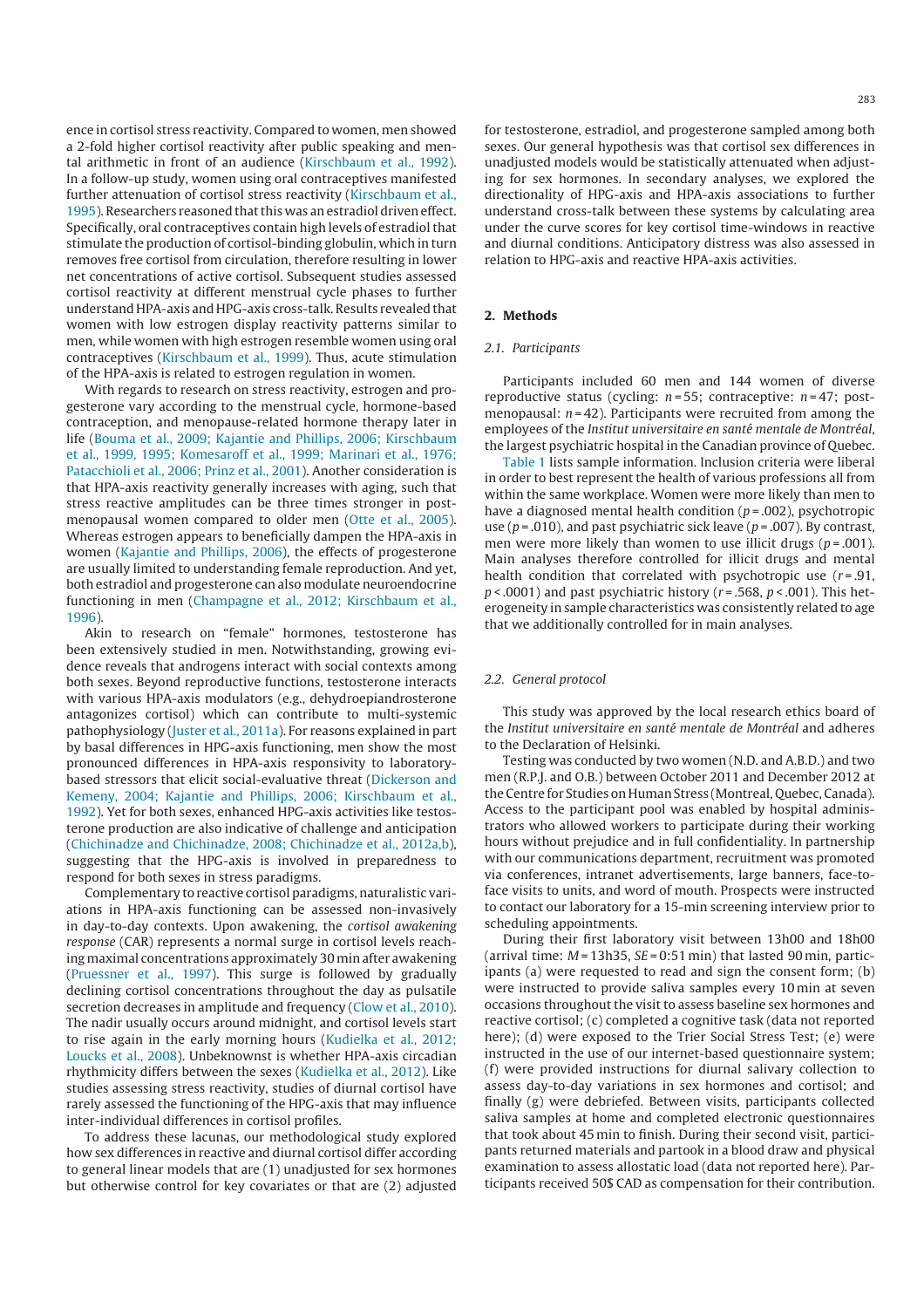ence in cortisol stress reactivity. Compared to women, men showed a 2-fold higher cortisol reactivity after public speaking and mental arithmetic in front of an audience (Kirschbaum et al., 1992). In a follow-up study, women using oral contraceptives manifested further attenuation of cortisol stress reactivity (Kirschbaum et al., 1995). Researchers reasoned that this was an estradiol driven effect. Specifically, oral contraceptives contain high levels of estradiol that stimulate the production of cortisol-binding globulin, which in turn removes free cortisol from circulation, therefore resulting in lower net concentrations of active cortisol. Subsequent studies assessed cortisol reactivity at different menstrual cycle phases to further understandHPA-axis and HPG-axis cross-talk.Results revealed that women with low estrogen display reactivity patterns similar to men, while women with high estrogen resemble women using oral contraceptives (Kirschbaum et al., 1999). Thus, acute stimulation of the HPA-axis is related to estrogen regulation in women.

With regards to research on stress reactivity, estrogen and progesterone vary according to the menstrual cycle, hormone-based contraception, and menopause-related hormone therapy later in life (Bouma et al., 2009; Kajantie and Phillips, 2006; Kirschbaum et al., 1999, 1995; Komesaroff et al., 1999; Marinari et al., 1976; Patacchioli et al., 2006; Prinz et al., 2001). Another consideration is that HPA-axis reactivity generally increases with aging, such that stress reactive amplitudes can be three times stronger in postmenopausal women compared to older men (Otte et al., 2005). Whereas estrogen appears to beneficially dampen the HPA-axis in women (Kajantie and Phillips, 2006), the effects of progesterone are usually limited to understanding female reproduction. And yet, both estradiol and progesterone can also modulate neuroendocrine functioning in men (Champagne et al., 2012; Kirschbaum et al., 1996).

Akin to research on "female" hormones, testosterone has been extensively studied in men. Notwithstanding, growing evidence reveals that androgens interact with social contexts among both sexes. Beyond reproductive functions, testosterone interacts with various HPA-axis modulators (e.g., dehydroepiandrosterone antagonizes cortisol) which can contribute to multi-systemic pathophysiology (Juster et al., 2011a). For reasons explained in part by basal differences in HPG-axis functioning, men show the most pronounced differences in HPA-axis responsivity to laboratorybased stressors that elicit social-evaluative threat (Dickerson and Kemeny, 2004; Kajantie and Phillips, 2006; Kirschbaum et al., 1992). Yet for both sexes, enhanced HPG-axis activities like testosterone production are also indicative of challenge and anticipation (Chichinadze and Chichinadze, 2008; Chichinadze et al., 2012a,b), suggesting that the HPG-axis is involved in preparedness to respond for both sexes in stress paradigms.

Complementary to reactive cortisol paradigms, naturalistic variations in HPA-axis functioning can be assessed non-invasively in day-to-day contexts. Upon awakening, the cortisol awakening response (CAR) represents a normal surge in cortisol levels reaching maximal concentrations approximately 30 min after awakening (Pruessner et al., 1997). This surge is followed by gradually declining cortisol concentrations throughout the day as pulsatile secretion decreases in amplitude and frequency (Clow et al., 2010). The nadir usually occurs around midnight, and cortisol levels start to rise again in the early morning hours (Kudielka et al., 2012; Loucks et al., 2008). Unbeknownst is whether HPA-axis circadian rhythmicity differs between the sexes (Kudielka et al., 2012). Like studies assessing stress reactivity, studies of diurnal cortisol have rarely assessed the functioning of the HPG-axis that may influence inter-individual differences in cortisol profiles.

To address these lacunas, our methodological study explored how sex differences in reactive and diurnal cortisol differ according to general linear models that are (1) unadjusted for sex hormones but otherwise control for key covariates or that are (2) adjusted for testosterone, estradiol, and progesterone sampled among both sexes. Our general hypothesis was that cortisol sex differences in unadjusted models would be statistically attenuated when adjusting for sex hormones. In secondary analyses, we explored the directionality of HPG-axis and HPA-axis associations to further understand cross-talk between these systems by calculating area under the curve scores for key cortisol time-windows in reactive and diurnal conditions. Anticipatory distress was also assessed in relation to HPG-axis and reactive HPA-axis activities.

# **2. Methods**

# 2.1. Participants

Participants included 60 men and 144 women of diverse reproductive status (cycling:  $n = 55$ ; contraceptive:  $n = 47$ ; postmenopausal:  $n = 42$ ). Participants were recruited from among the employees of the Institut universitaire en santé mentale de Montréal, the largest psychiatric hospital in the Canadian province of Quebec.

Table 1 lists sample information. Inclusion criteria were liberal in order to best represent the health of various professions all from within the same workplace. Women were more likely than men to have a diagnosed mental health condition ( $p = .002$ ), psychotropic use ( $p = .010$ ), and past psychiatric sick leave ( $p = .007$ ). By contrast, men were more likely than women to use illicit drugs ( $p = .001$ ). Main analyses therefore controlled for illicit drugs and mental health condition that correlated with psychotropic use  $(r=.91)$ .  $p$  < .0001) and past psychiatric history ( $r = .568$ ,  $p$  < .001). This heterogeneity in sample characteristics was consistently related to age that we additionally controlled for in main analyses.

#### 2.2. General protocol

This study was approved by the local research ethics board of the Institut universitaire en santé mentale de Montréal and adheres to the Declaration of Helsinki.

Testing was conducted by two women (N.D. and A.B.D.) and two men (R.P.J. and O.B.) between October 2011 and December 2012 at the Centre for Studies on Human Stress (Montreal, Quebec, Canada). Access to the participant pool was enabled by hospital administrators who allowed workers to participate during their working hours without prejudice and in full confidentiality. In partnership with our communications department, recruitment was promoted via conferences, intranet advertisements, large banners, face-toface visits to units, and word of mouth. Prospects were instructed to contact our laboratory for a 15-min screening interview prior to scheduling appointments.

During their first laboratory visit between 13h00 and 18h00 (arrival time:  $M = 13h35$ ,  $SE = 0:51 min$ ) that lasted 90 min, participants (a) were requested to read and sign the consent form; (b) were instructed to provide saliva samples every 10 min at seven occasions throughout the visit to assess baseline sex hormones and reactive cortisol; (c) completed a cognitive task (data not reported here); (d) were exposed to the Trier Social Stress Test; (e) were instructed in the use of our internet-based questionnaire system; (f) were provided instructions for diurnal salivary collection to assess day-to-day variations in sex hormones and cortisol; and finally (g) were debriefed. Between visits, participants collected saliva samples at home and completed electronic questionnaires that took about 45 min to finish. During their second visit, participants returned materials and partook in a blood draw and physical examination to assess allostatic load (data not reported here). Participants received 50\$ CAD as compensation for their contribution.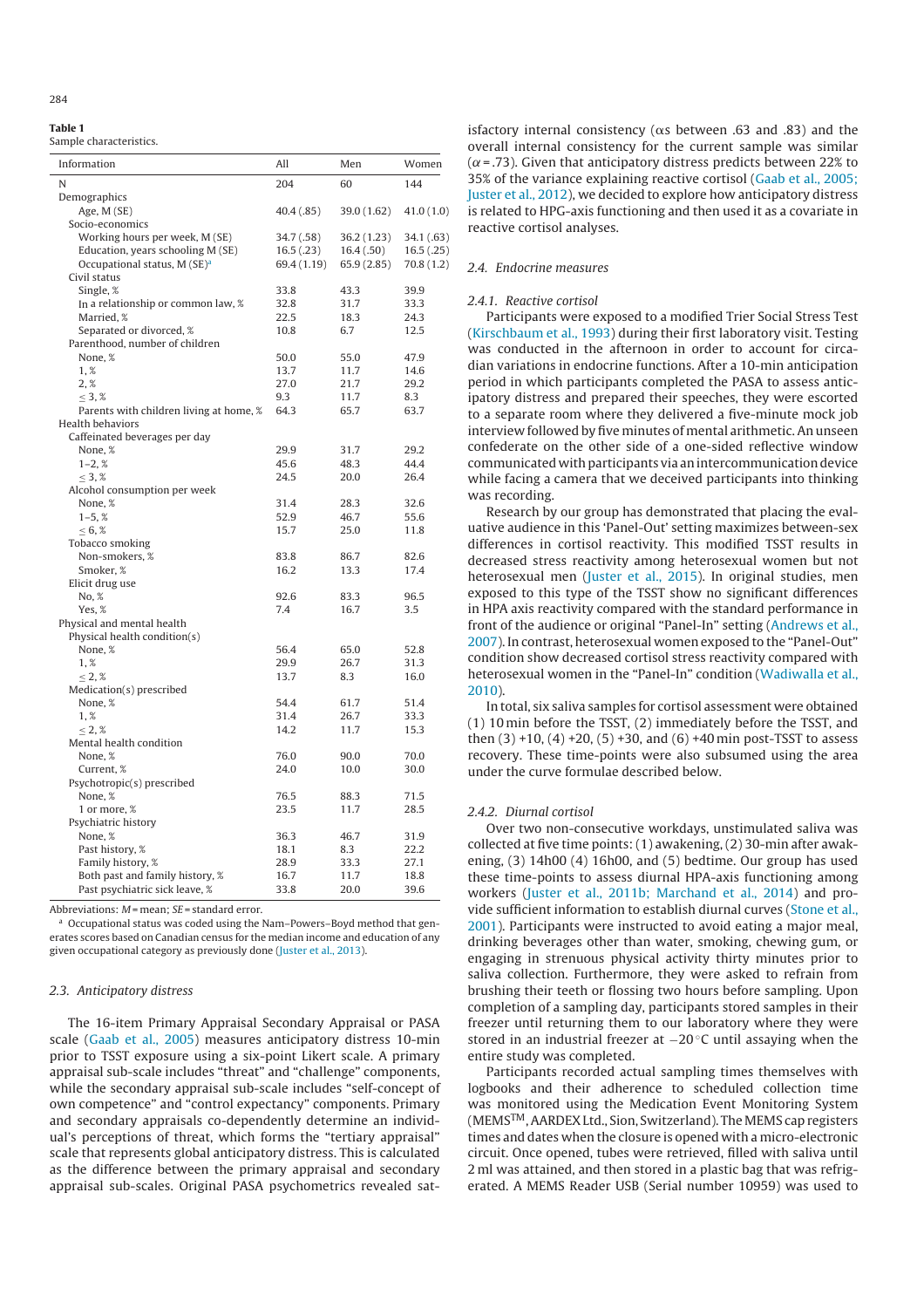#### **Table 1**

Sample characteristics.

| Information                              | All         | Men         | Women      |
|------------------------------------------|-------------|-------------|------------|
| N                                        | 204         | 60          | 144        |
| Demographics                             |             |             |            |
| Age, M (SE)                              | 40.4 (.85)  | 39.0 (1.62) | 41.0(1.0)  |
| Socio-economics                          |             |             |            |
| Working hours per week, M (SE)           | 34.7 (.58)  | 36.2 (1.23) | 34.1 (.63) |
| Education, years schooling M (SE)        | 16.5(.23)   | 16.4(.50)   | 16.5(0.25) |
| Occupational status, M (SE) <sup>a</sup> | 69.4 (1.19) | 65.9 (2.85) | 70.8(1.2)  |
| Civil status                             |             |             |            |
| Single, %                                | 33.8        | 43.3        | 39.9       |
| In a relationship or common law, %       | 32.8        | 31.7        | 33.3       |
| Married, %                               | 22.5        | 18.3        | 24.3       |
| Separated or divorced, %                 | 10.8        | 6.7         | 12.5       |
| Parenthood, number of children           |             |             |            |
| None. %                                  | 50.0        | 55.0        | 47.9       |
| 1,%                                      | 13.7        | 11.7        | 14.6       |
| 2. %                                     | 27.0        | 21.7        | 29.2       |
| $\leq$ 3, %                              | 9.3         | 11.7        | 8.3        |
| Parents with children living at home, %  | 64.3        | 65.7        | 63.7       |
| Health behaviors                         |             |             |            |
| Caffeinated beverages per day            |             |             |            |
| None, %                                  | 29.9        | 31.7        | 29.2       |
| $1-2, %$                                 | 45.6        | 48.3        | 44.4       |
| $\leq$ 3, %                              | 24.5        | 20.0        | 26.4       |
| Alcohol consumption per week             |             |             |            |
| None, %                                  | 31.4        | 28.3        | 32.6       |
| $1-5, %$                                 | 52.9        | 46.7        | 55.6       |
| < 6, %                                   | 15.7        | 25.0        | 11.8       |
| Tobacco smoking                          |             |             |            |
| Non-smokers, %                           | 83.8        | 86.7        | 82.6       |
| Smoker, %                                | 16.2        | 13.3        | 17.4       |
| Elicit drug use                          |             |             |            |
| No, %                                    | 92.6        | 83.3        | 96.5       |
| Yes. %                                   | 7.4         | 16.7        | 3.5        |
| Physical and mental health               |             |             |            |
| Physical health condition(s)             |             |             |            |
| None, %                                  | 56.4        | 65.0        | 52.8       |
| 1,%                                      | 29.9        | 26.7        | 31.3       |
| $\leq$ 2, %                              | 13.7        | 8.3         | 16.0       |
| Medication(s) prescribed                 |             |             |            |
| None, %                                  | 54.4        | 61.7        | 51.4       |
| 1,%                                      | 31.4        | 26.7        | 33.3       |
| $\leq$ 2, %                              | 14.2        | 11.7        | 15.3       |
| Mental health condition                  |             |             |            |
| None, %                                  | 76.0        | 90.0        | 70.0       |
| Current, %                               | 24.0        | 10.0        | 30.0       |
| Psychotropic(s) prescribed               |             |             |            |
| None, %                                  | 76.5        | 88.3        | 71.5       |
| 1 or more, %                             | 23.5        | 11.7        | 28.5       |
| Psychiatric history                      |             |             |            |
| None, %                                  | 36.3        | 46.7        | 31.9       |
| Past history, %                          | 18.1        | 8.3         | 22.2       |
| Family history, %                        | 28.9        | 33.3        | 27.1       |
| Both past and family history, %          | 16.7        | 11.7        | 18.8       |
| Past psychiatric sick leave, %           | 33.8        | 20.0        | 39.6       |
|                                          |             |             |            |

Abbreviations:  $M$  = mean;  $SE$  = standard error.

a Occupational status was coded using the Nam-Powers-Boyd method that generates scores based on Canadian census for the median income and education of any given occupational category as previously done (Juster et al., 2013).

# 2.3. Anticipatory distress

The 16-item Primary Appraisal Secondary Appraisal or PASA scale (Gaab et al., 2005) measures anticipatory distress 10-min prior to TSST exposure using a six-point Likert scale. A primary appraisal sub-scale includes "threat" and "challenge" components, while the secondary appraisal sub-scale includes "self-concept of own competence" and "control expectancy" components. Primary and secondary appraisals co-dependently determine an individual's perceptions of threat, which forms the "tertiary appraisal" scale that represents global anticipatory distress. This is calculated as the difference between the primary appraisal and secondary appraisal sub-scales. Original PASA psychometrics revealed sat-

isfactory internal consistency ( $\alpha$ s between .63 and .83) and the overall internal consistency for the current sample was similar ( $\alpha$  = .73). Given that anticipatory distress predicts between 22% to 35% of the variance explaining reactive cortisol (Gaab et al., 2005; Juster et al., 2012), we decided to explore how anticipatory distress is related to HPG-axis functioning and then used it as a covariate in reactive cortisol analyses.

## 2.4. Endocrine measures

#### 2.4.1. Reactive cortisol

Participants were exposed to a modified Trier Social Stress Test (Kirschbaum et al., 1993) during their first laboratory visit. Testing was conducted in the afternoon in order to account for circadian variations in endocrine functions. After a 10-min anticipation period in which participants completed the PASA to assess anticipatory distress and prepared their speeches, they were escorted to a separate room where they delivered a five-minute mock job interview followed by five minutes of mental arithmetic. An unseen confederate on the other side of a one-sided reflective window communicated with participants via an intercommunication device while facing a camera that we deceived participants into thinking was recording.

Research by our group has demonstrated that placing the evaluative audience in this 'Panel-Out' setting maximizes between-sex differences in cortisol reactivity. This modified TSST results in decreased stress reactivity among heterosexual women but not heterosexual men (Juster et al., 2015). In original studies, men exposed to this type of the TSST show no significant differences in HPA axis reactivity compared with the standard performance in front of the audience or original "Panel-In" setting (Andrews et al., 2007). In contrast, heterosexual women exposed to the "Panel-Out" condition show decreased cortisol stress reactivity compared with heterosexual women in the "Panel-In" condition (Wadiwalla et al., 2010).

In total, six saliva samples for cortisol assessment were obtained (1) 10 min before the TSST, (2) immediately before the TSST, and then  $(3) +10$ ,  $(4) +20$ ,  $(5) +30$ , and  $(6) +40$  min post-TSST to assess recovery. These time-points were also subsumed using the area under the curve formulae described below.

### 2.4.2. Diurnal cortisol

Over two non-consecutive workdays, unstimulated saliva was collected at five time points: (1) awakening, (2) 30-min after awakening, (3) 14h00 (4) 16h00, and (5) bedtime. Our group has used these time-points to assess diurnal HPA-axis functioning among workers (Juster et al., 2011b; Marchand et al., 2014) and provide sufficient information to establish diurnal curves (Stone et al., 2001). Participants were instructed to avoid eating a major meal, drinking beverages other than water, smoking, chewing gum, or engaging in strenuous physical activity thirty minutes prior to saliva collection. Furthermore, they were asked to refrain from brushing their teeth or flossing two hours before sampling. Upon completion of a sampling day, participants stored samples in their freezer until returning them to our laboratory where they were stored in an industrial freezer at −20 ◦C until assaying when the entire study was completed.

Participants recorded actual sampling times themselves with logbooks and their adherence to scheduled collection time was monitored using the Medication Event Monitoring System (MEMS<sup>TM</sup>, AARDEX Ltd., Sion, Switzerland). The MEMS cap registers times and dates when the closure is opened with a micro-electronic circuit. Once opened, tubes were retrieved, filled with saliva until 2 ml was attained, and then stored in a plastic bag that was refrigerated. A MEMS Reader USB (Serial number 10959) was used to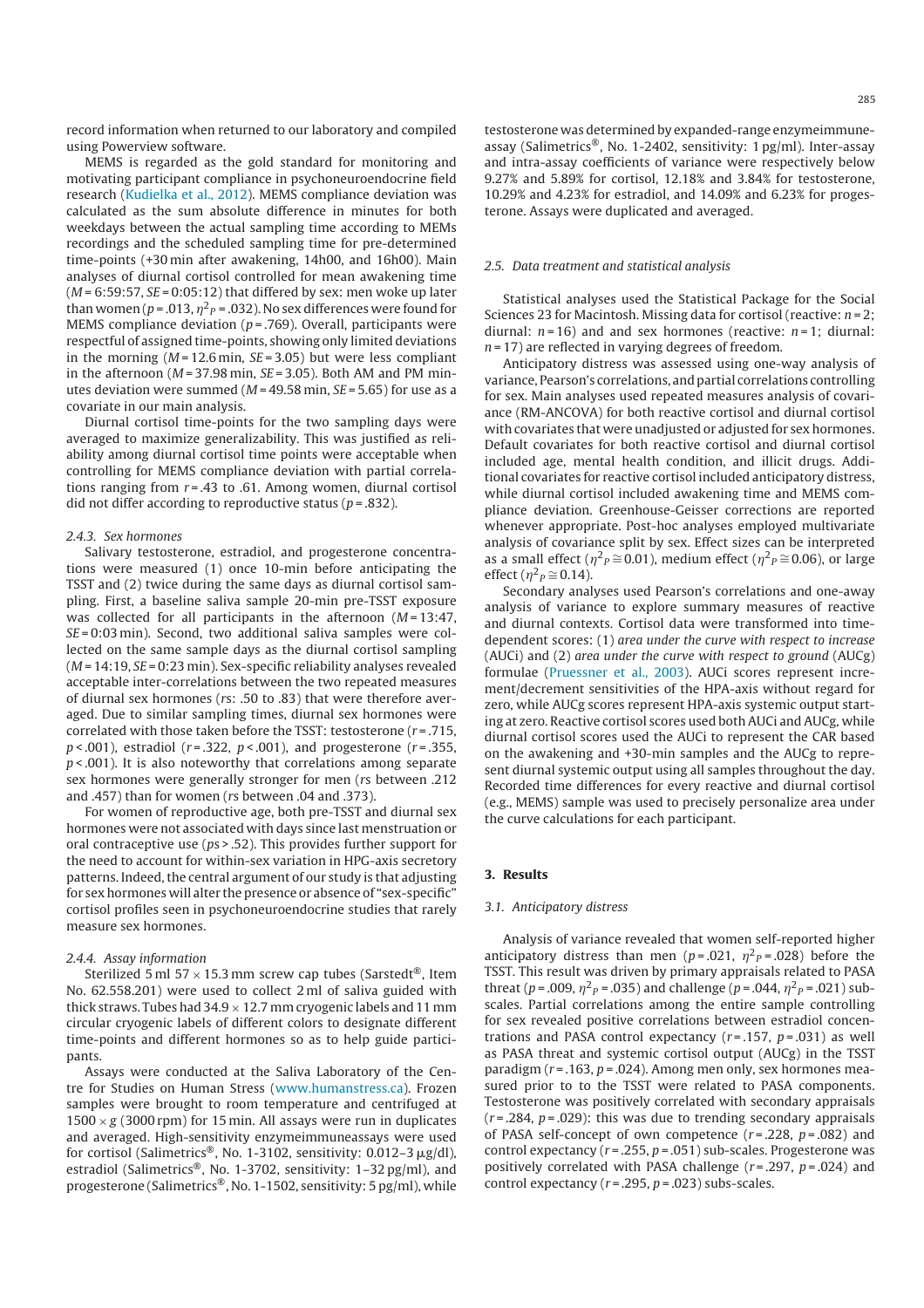record information when returned to our laboratory and compiled using Powerview software.

MEMS is regarded as the gold standard for monitoring and motivating participant compliance in psychoneuroendocrine field research (Kudielka et al., 2012). MEMS compliance deviation was calculated as the sum absolute difference in minutes for both weekdays between the actual sampling time according to MEMs recordings and the scheduled sampling time for pre-determined time-points (+30 min after awakening, 14h00, and 16h00). Main analyses of diurnal cortisol controlled for mean awakening time  $(M = 6:59:57, SE = 0:05:12)$  that differed by sex: men woke up later than women (p = .013,  $\eta^2{}_{P}$  = .032). No sex differences were found for MEMS compliance deviation ( $p = .769$ ). Overall, participants were respectful of assigned time-points, showing only limited deviations in the morning  $(M = 12.6 \text{ min}, SE = 3.05)$  but were less compliant in the afternoon ( $M = 37.98$  min,  $SE = 3.05$ ). Both AM and PM minutes deviation were summed ( $M = 49.58$  min,  $SE = 5.65$ ) for use as a covariate in our main analysis.

Diurnal cortisol time-points for the two sampling days were averaged to maximize generalizability. This was justified as reliability among diurnal cortisol time points were acceptable when controlling for MEMS compliance deviation with partial correlations ranging from  $r = .43$  to .61. Among women, diurnal cortisol did not differ according to reproductive status ( $p = .832$ ).

# 2.4.3. Sex hormones

Salivary testosterone, estradiol, and progesterone concentrations were measured (1) once 10-min before anticipating the TSST and (2) twice during the same days as diurnal cortisol sampling. First, a baseline saliva sample 20-min pre-TSST exposure was collected for all participants in the afternoon  $(M=13:47,$  $SE = 0:03$  min). Second, two additional saliva samples were collected on the same sample days as the diurnal cortisol sampling  $(M = 14:19, SE = 0:23$  min). Sex-specific reliability analyses revealed acceptable inter-correlations between the two repeated measures of diurnal sex hormones (rs: .50 to .83) that were therefore averaged. Due to similar sampling times, diurnal sex hormones were correlated with those taken before the TSST: testosterone  $(r = .715,$  $p < .001$ ), estradiol ( $r = .322$ ,  $p < .001$ ), and progesterone ( $r = .355$ ,  $p < .001$ ). It is also noteworthy that correlations among separate sex hormones were generally stronger for men (rs between .212 and .457) than for women (rs between .04 and .373).

For women of reproductive age, both pre-TSST and diurnal sex hormones were not associated with days since last menstruation or oral contraceptive use (ps > .52). This provides further support for the need to account for within-sex variation in HPG-axis secretory patterns. Indeed, the central argument of our study is that adjusting for sex hormones will alter the presence or absence of "sex-specific" cortisol profiles seen in psychoneuroendocrine studies that rarely measure sex hormones.

## 2.4.4. Assay information

Sterilized 5 ml  $57 \times 15.3$  mm screw cap tubes (Sarstedt<sup>®</sup>, Item No. 62.558.201) were used to collect 2 ml of saliva guided with thick straws. Tubes had  $34.9 \times 12.7$  mm cryogenic labels and 11 mm circular cryogenic labels of different colors to designate different time-points and different hormones so as to help guide participants.

Assays were conducted at the Saliva Laboratory of the Centre for Studies on Human Stress (www.humanstress.ca). Frozen samples were brought to room temperature and centrifuged at  $1500 \times g$  (3000 rpm) for 15 min. All assays were run in duplicates and averaged. High-sensitivity enzymeimmuneassays were used for cortisol (Salimetrics®, No. 1-3102, sensitivity:  $0.012-3 \mu g/dl$ ), estradiol (Salimetrics®, No. 1-3702, sensitivity: 1-32 pg/ml), and progesterone (Salimetrics®, No. 1-1502, sensitivity: 5 pg/ml), while

testosterone was determined by expanded-range enzymeimmuneassay (Salimetrics®, No. 1-2402, sensitivity: 1 pg/ml). Inter-assay and intra-assay coefficients of variance were respectively below 9.27% and 5.89% for cortisol, 12.18% and 3.84% for testosterone, 10.29% and 4.23% for estradiol, and 14.09% and 6.23% for progesterone. Assays were duplicated and averaged.

#### 2.5. Data treatment and statistical analysis

Statistical analyses used the Statistical Package for the Social Sciences 23 for Macintosh. Missing data for cortisol (reactive:  $n = 2$ ; diurnal:  $n = 16$ ) and and sex hormones (reactive:  $n = 1$ ; diurnal:  $n = 17$ ) are reflected in varying degrees of freedom.

Anticipatory distress was assessed using one-way analysis of variance, Pearson's correlations, andpartial correlations controlling for sex. Main analyses used repeated measures analysis of covariance (RM-ANCOVA) for both reactive cortisol and diurnal cortisol with covariates that were unadjusted or adjusted for sex hormones. Default covariates for both reactive cortisol and diurnal cortisol included age, mental health condition, and illicit drugs. Additional covariates for reactive cortisol included anticipatory distress, while diurnal cortisol included awakening time and MEMS compliance deviation. Greenhouse-Geisser corrections are reported whenever appropriate. Post-hoc analyses employed multivariate analysis of covariance split by sex. Effect sizes can be interpreted as a small effect ( $\eta^2 P \cong 0.01$ ), medium effect ( $\eta^2 P \cong 0.06$ ), or large effect ( $\eta^2 P \cong 0.14$ ).

Secondary analyses used Pearson's correlations and one-away analysis of variance to explore summary measures of reactive and diurnal contexts. Cortisol data were transformed into timedependent scores: (1) area under the curve with respect to increase (AUCi) and (2) area under the curve with respect to ground (AUCg) formulae (Pruessner et al., 2003). AUCi scores represent increment/decrement sensitivities of the HPA-axis without regard for zero, while AUCg scores represent HPA-axis systemic output starting at zero. Reactive cortisol scores used both AUCi and AUCg, while diurnal cortisol scores used the AUCi to represent the CAR based on the awakening and +30-min samples and the AUCg to represent diurnal systemic output using all samples throughout the day. Recorded time differences for every reactive and diurnal cortisol (e.g., MEMS) sample was used to precisely personalize area under the curve calculations for each participant.

## **3. Results**

# 3.1. Anticipatory distress

Analysis of variance revealed that women self-reported higher anticipatory distress than men (p=.021,  $\eta^2{}_P$ =.028) before the TSST. This result was driven by primary appraisals related to PASA threat (p = .009,  $\eta^2{}_P$  = .035) and challenge (p = .044,  $\eta^2{}_P$  = .021) subscales. Partial correlations among the entire sample controlling for sex revealed positive correlations between estradiol concentrations and PASA control expectancy  $(r=.157, p=.031)$  as well as PASA threat and systemic cortisol output (AUCg) in the TSST paradigm ( $r = .163$ ,  $p = .024$ ). Among men only, sex hormones measured prior to to the TSST were related to PASA components. Testosterone was positively correlated with secondary appraisals  $(r = .284, p = .029)$ : this was due to trending secondary appraisals of PASA self-concept of own competence  $(r=.228, p=.082)$  and control expectancy ( $r = 0.255$ ,  $p = 0.051$ ) sub-scales. Progesterone was positively correlated with PASA challenge  $(r=.297, p=.024)$  and control expectancy ( $r = .295$ ,  $p = .023$ ) subs-scales.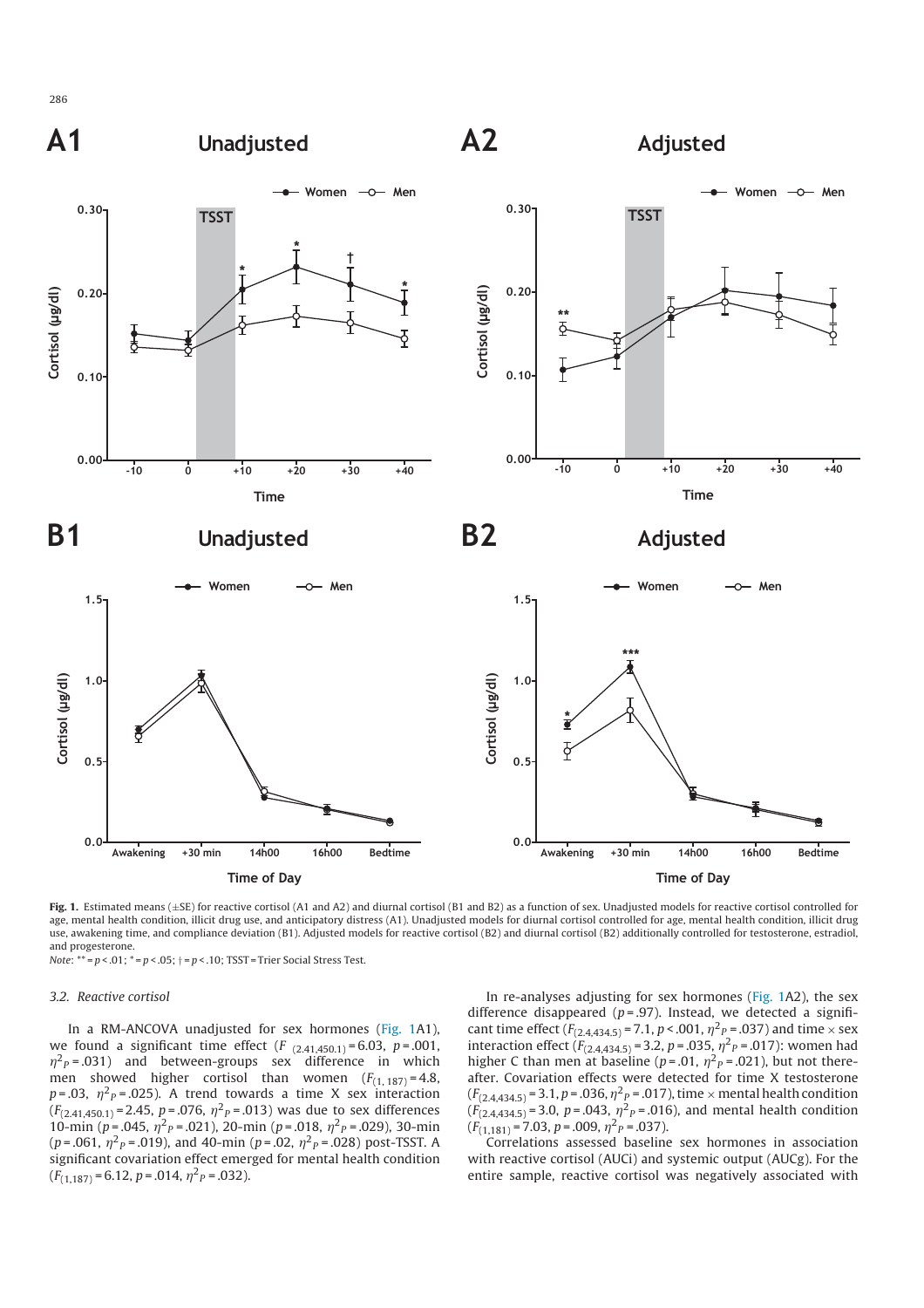

**Fig. 1.** Estimated means (±SE) for reactive cortisol (A1 and A2) and diurnal cortisol (B1 and B2) as a function of sex. Unadjusted models for reactive cortisol controlled for age, mental health condition, illicit drug use, and anticipatory distress (A1). Unadjusted models for diurnal cortisol controlled for age, mental health condition, illicit drug use, awakening time, and compliance deviation (B1). Adjusted models for reactive cortisol (B2) and diurnal cortisol (B2) additionally controlled for testosterone, estradiol, and progesterone.  $Note: ** = p < .01; * = p < .05; + = p < .10; TSST = Trier Social Stress Test.$ 

## 3.2. Reactive cortisol

In a RM-ANCOVA unadjusted for sex hormones (Fig. 1A1), we found a significant time effect  $(F_{(2,41,450.1)} = 6.03, p = .001,$  $\eta^2$ <sub>P</sub> = .031) and between-groups sex difference in which men showed higher cortisol than women  $(F_{(1, 187)} = 4.8$ ,  $p = .03$ ,  $\eta^2 P = .025$ ). A trend towards a time X sex interaction  $(F_{(2,41,450.1)}$ = 2.45, p=.076,  $\eta^2$ <sub>P</sub>=.013) was due to sex differences 10-min (p = .045,  $\eta^2 P = .021$ ), 20-min (p = .018,  $\eta^2 P = .029$ ), 30-min  $(p = .061, \eta^2 P = .019)$ , and 40-min  $(p = .02, \eta^2 P = .028)$  post-TSST. A significant covariation effect emerged for mental health condition  $(F_{(1,187)} = 6.12, p = .014, \eta^2 P = .032).$ 

In re-analyses adjusting for sex hormones (Fig. 1A2), the sex difference disappeared ( $p = .97$ ). Instead, we detected a significant time effect  $(F_{(2,4,434.5)} = 7.1, p < .001, \eta^2 P_{\text{e}} = .037)$  and time  $\times$  sex interaction effect  $(F_{(2.4,434.5)} = 3.2, p = .035, \eta^2 P = .017)$ : women had higher C than men at baseline ( $p = .01$ ,  $\eta^2$ <sub>P</sub> = .021), but not thereafter. Covariation effects were detected for time X testosterone  $(F_{(2,4,434.5)} = 3.1, p = .036, \eta^2 p = .017)$ , time  $\times$  mental health condition  $(F_{(2,4,434.5)} = 3.0, p = .043, \eta^2 p = .016)$ , and mental health condition  $(F_{(1,181)} = 7.03, p = .009, \eta^2 P = .037).$ 

Correlations assessed baseline sex hormones in association with reactive cortisol (AUCi) and systemic output (AUCg). For the entire sample, reactive cortisol was negatively associated with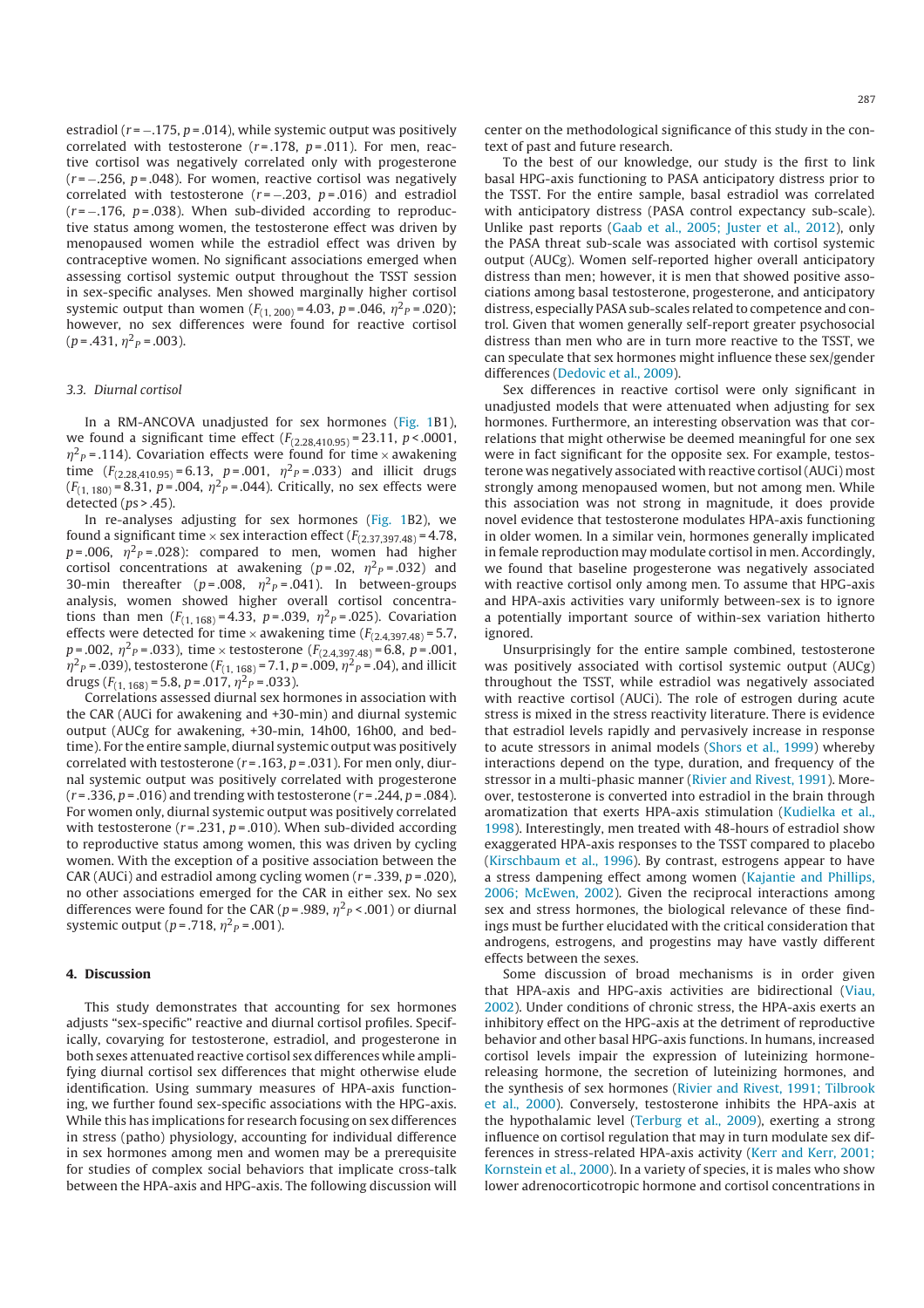estradiol ( $r = -175$ ,  $p = 0.014$ ), while systemic output was positively correlated with testosterone ( $r = .178$ ,  $p = .011$ ). For men, reactive cortisol was negatively correlated only with progesterone  $(r = -.256, p = .048)$ . For women, reactive cortisol was negatively correlated with testosterone ( $r = -.203$ ,  $p = .016$ ) and estradiol  $(r = -.176, p = .038)$ . When sub-divided according to reproductive status among women, the testosterone effect was driven by menopaused women while the estradiol effect was driven by contraceptive women. No significant associations emerged when assessing cortisol systemic output throughout the TSST session in sex-specific analyses. Men showed marginally higher cortisol systemic output than women  $(F_{(1, 200)} = 4.03, p = .046, \eta^2 P = .020)$ ; however, no sex differences were found for reactive cortisol  $(p = .431, \eta^2 p = .003).$ 

## 3.3. Diurnal cortisol

In a RM-ANCOVA unadjusted for sex hormones (Fig. 1B1), we found a significant time effect  $(F_{(2,28,410,95)} = 23.11, p < .0001,$  $\eta^2$ <sub>P</sub> = .114). Covariation effects were found for time  $\times$  awakening time  $(F_{(2,28,410.95)} = 6.13, p = .001, \eta^2 P = .033)$  and illicit drugs  $(F_{(1, 180)} = 8.31, p = .004, \eta^2 P = .044)$ . Critically, no sex effects were detected (ps > .45).

In re-analyses adjusting for sex hormones (Fig. 1B2), we found a significant time  $\times$  sex interaction effect ( $F_{(2,37,397,48)}$  = 4.78,  $p = .006$ ,  $\eta^2 P = .028$ ): compared to men, women had higher cortisol concentrations at awakening ( $p = .02$ ,  $\eta^2 P = .032$ ) and 30-min thereafter ( $p = .008$ ,  $\eta^2 p = .041$ ). In between-groups analysis, women showed higher overall cortisol concentrations than men  $(F_{(1, 168)} = 4.33, p = .039, \eta^2 p = .025)$ . Covariation effects were detected for time  $\times$  awakening time  $(F_{(2,4,397,48)} = 5.7$ ,  $p = .002$ ,  $\eta^2 P = .033$ ), time × testosterone  $(F_{(2,4,397,48)} = 6.8, p = .001$ ,  $\eta^2{}_P$  = .039), testosterone ( $F_{(1, 168)}$  = 7.1, p = .009,  $\eta^2{}_P$  = .04), and illicit drugs  $(F_{(1, 168)} = 5.8, p = .017, \eta^2 P = .033)$ .

Correlations assessed diurnal sex hormones in association with the CAR (AUCi for awakening and +30-min) and diurnal systemic output (AUCg for awakening, +30-min, 14h00, 16h00, and bedtime). For the entire sample, diurnal systemic output was positively correlated with testosterone ( $r = .163$ ,  $p = .031$ ). For men only, diurnal systemic output was positively correlated with progesterone  $(r = .336, p = .016)$  and trending with testosterone  $(r = .244, p = .084)$ . For women only, diurnal systemic output was positively correlated with testosterone ( $r = 0.231$ ,  $p = 0.010$ ). When sub-divided according to reproductive status among women, this was driven by cycling women. With the exception of a positive association between the CAR (AUCi) and estradiol among cycling women ( $r = 0.339$ ,  $p = 0.020$ ), no other associations emerged for the CAR in either sex. No sex differences were found for the CAR ( $p = .989$ ,  $\eta^2$ <sub>P</sub> < .001) or diurnal systemic output ( $p = .718$ ,  $\eta^2{}_P = .001$ ).

#### **4. Discussion**

This study demonstrates that accounting for sex hormones adjusts "sex-specific" reactive and diurnal cortisol profiles. Specifically, covarying for testosterone, estradiol, and progesterone in both sexes attenuated reactive cortisol sex differences while amplifying diurnal cortisol sex differences that might otherwise elude identification. Using summary measures of HPA-axis functioning, we further found sex-specific associations with the HPG-axis. While this has implications for research focusing on sex differences in stress (patho) physiology, accounting for individual difference in sex hormones among men and women may be a prerequisite for studies of complex social behaviors that implicate cross-talk between the HPA-axis and HPG-axis. The following discussion will

center on the methodological significance of this study in the context of past and future research.

To the best of our knowledge, our study is the first to link basal HPG-axis functioning to PASA anticipatory distress prior to the TSST. For the entire sample, basal estradiol was correlated with anticipatory distress (PASA control expectancy sub-scale). Unlike past reports (Gaab et al., 2005; Juster et al., 2012), only the PASA threat sub-scale was associated with cortisol systemic output (AUCg). Women self-reported higher overall anticipatory distress than men; however, it is men that showed positive associations among basal testosterone, progesterone, and anticipatory distress, especially PASA sub-scales related to competence and control. Given that women generally self-report greater psychosocial distress than men who are in turn more reactive to the TSST, we can speculate that sex hormones might influence these sex/gender differences (Dedovic et al., 2009).

Sex differences in reactive cortisol were only significant in unadjusted models that were attenuated when adjusting for sex hormones. Furthermore, an interesting observation was that correlations that might otherwise be deemed meaningful for one sex were in fact significant for the opposite sex. For example, testosterone was negatively associated with reactive cortisol(AUCi) most strongly among menopaused women, but not among men. While this association was not strong in magnitude, it does provide novel evidence that testosterone modulates HPA-axis functioning in older women. In a similar vein, hormones generally implicated in female reproduction may modulate cortisol in men. Accordingly, we found that baseline progesterone was negatively associated with reactive cortisol only among men. To assume that HPG-axis and HPA-axis activities vary uniformly between-sex is to ignore a potentially important source of within-sex variation hitherto ignored.

Unsurprisingly for the entire sample combined, testosterone was positively associated with cortisol systemic output (AUCg) throughout the TSST, while estradiol was negatively associated with reactive cortisol (AUCi). The role of estrogen during acute stress is mixed in the stress reactivity literature. There is evidence that estradiol levels rapidly and pervasively increase in response to acute stressors in animal models (Shors et al., 1999) whereby interactions depend on the type, duration, and frequency of the stressor in a multi-phasic manner (Rivier and Rivest, 1991). Moreover, testosterone is converted into estradiol in the brain through aromatization that exerts HPA-axis stimulation (Kudielka et al., 1998). Interestingly, men treated with 48-hours of estradiol show exaggerated HPA-axis responses to the TSST compared to placebo (Kirschbaum et al., 1996). By contrast, estrogens appear to have a stress dampening effect among women (Kajantie and Phillips, 2006; McEwen, 2002). Given the reciprocal interactions among sex and stress hormones, the biological relevance of these findings must be further elucidated with the critical consideration that androgens, estrogens, and progestins may have vastly different effects between the sexes.

Some discussion of broad mechanisms is in order given that HPA-axis and HPG-axis activities are bidirectional (Viau, 2002). Under conditions of chronic stress, the HPA-axis exerts an inhibitory effect on the HPG-axis at the detriment of reproductive behavior and other basal HPG-axis functions. In humans, increased cortisol levels impair the expression of luteinizing hormonereleasing hormone, the secretion of luteinizing hormones, and the synthesis of sex hormones (Rivier and Rivest, 1991; Tilbrook et al., 2000). Conversely, testosterone inhibits the HPA-axis at the hypothalamic level (Terburg et al., 2009), exerting a strong influence on cortisol regulation that may in turn modulate sex differences in stress-related HPA-axis activity (Kerr and Kerr, 2001; Kornstein et al., 2000). In a variety of species, it is males who show lower adrenocorticotropic hormone and cortisol concentrations in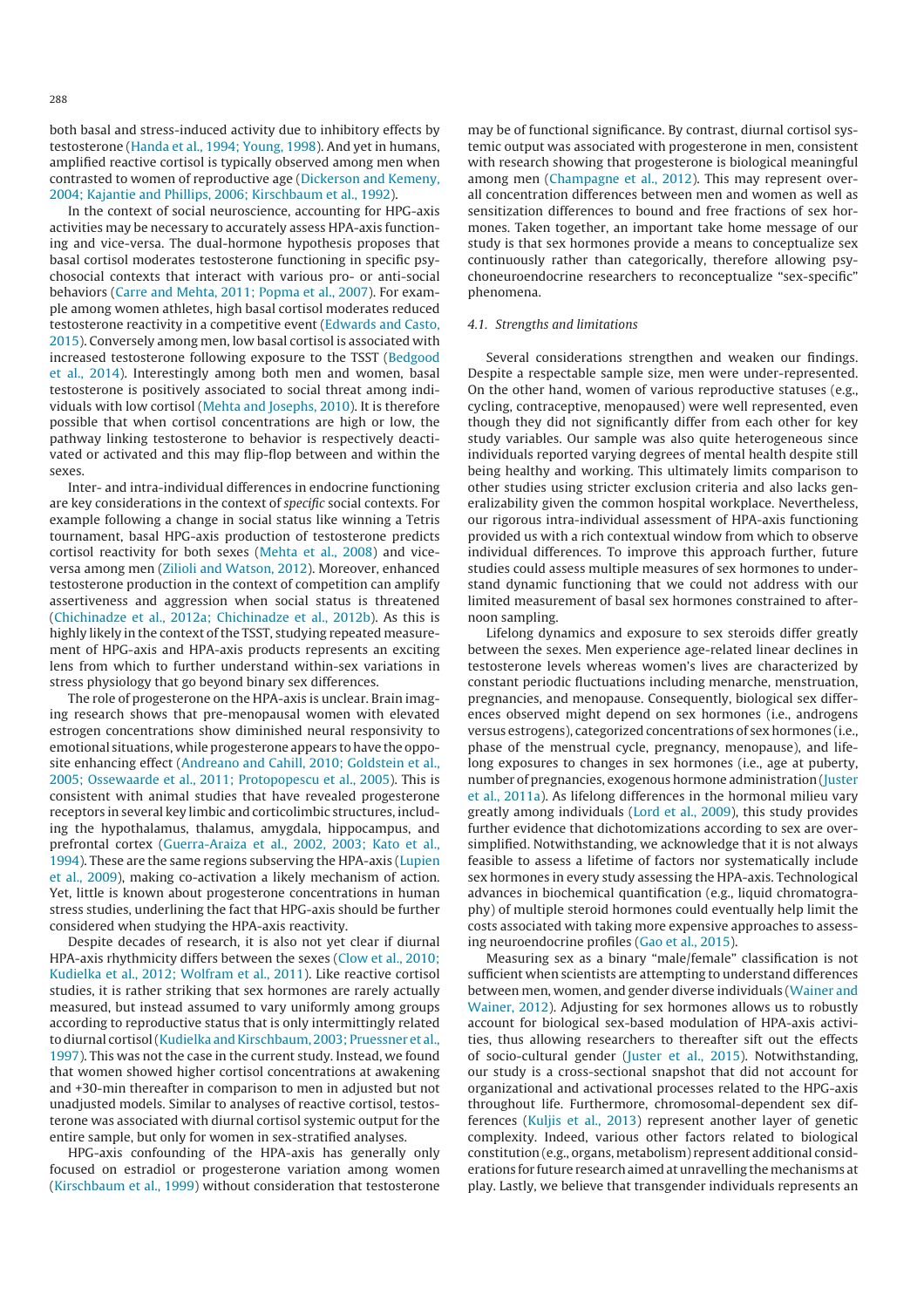both basal and stress-induced activity due to inhibitory effects by testosterone (Handa et al., 1994; Young, 1998). And yet in humans, amplified reactive cortisol is typically observed among men when contrasted to women of reproductive age (Dickerson and Kemeny, 2004; Kajantie and Phillips, 2006; Kirschbaum et al., 1992).

In the context of social neuroscience, accounting for HPG-axis activities may be necessary to accurately assess HPA-axis functioning and vice-versa. The dual-hormone hypothesis proposes that basal cortisol moderates testosterone functioning in specific psychosocial contexts that interact with various pro- or anti-social behaviors (Carre and Mehta, 2011; Popma et al., 2007). For example among women athletes, high basal cortisol moderates reduced testosterone reactivity in a competitive event (Edwards and Casto, 2015). Conversely among men, low basal cortisol is associated with increased testosterone following exposure to the TSST (Bedgood et al., 2014). Interestingly among both men and women, basal testosterone is positively associated to social threat among individuals with low cortisol (Mehta and Josephs, 2010). It is therefore possible that when cortisol concentrations are high or low, the pathway linking testosterone to behavior is respectively deactivated or activated and this may flip-flop between and within the sexes.

Inter- and intra-individual differences in endocrine functioning are key considerations in the context of specific social contexts. For example following a change in social status like winning a Tetris tournament, basal HPG-axis production of testosterone predicts cortisol reactivity for both sexes (Mehta et al., 2008) and viceversa among men (Zilioli and Watson, 2012). Moreover, enhanced testosterone production in the context of competition can amplify assertiveness and aggression when social status is threatened (Chichinadze et al., 2012a; Chichinadze et al., 2012b). As this is highly likely in the context of the TSST, studying repeated measurement of HPG-axis and HPA-axis products represents an exciting lens from which to further understand within-sex variations in stress physiology that go beyond binary sex differences.

The role of progesterone on the HPA-axis is unclear. Brain imaging research shows that pre-menopausal women with elevated estrogen concentrations show diminished neural responsivity to emotional situations, while progesterone appears to have the opposite enhancing effect (Andreano and Cahill, 2010; Goldstein et al., 2005; Ossewaarde et al., 2011; Protopopescu et al., 2005). This is consistent with animal studies that have revealed progesterone receptors in several key limbic and corticolimbic structures, including the hypothalamus, thalamus, amygdala, hippocampus, and prefrontal cortex (Guerra-Araiza et al., 2002, 2003; Kato et al., 1994). These are the same regions subserving the HPA-axis (Lupien et al., 2009), making co-activation a likely mechanism of action. Yet, little is known about progesterone concentrations in human stress studies, underlining the fact that HPG-axis should be further considered when studying the HPA-axis reactivity.

Despite decades of research, it is also not yet clear if diurnal HPA-axis rhythmicity differs between the sexes (Clow et al., 2010; Kudielka et al., 2012; Wolfram et al., 2011). Like reactive cortisol studies, it is rather striking that sex hormones are rarely actually measured, but instead assumed to vary uniformly among groups according to reproductive status that is only intermittingly related to diurnal cortisol (Kudielka and Kirschbaum, 2003; Pruessner et al., 1997). This was not the case in the current study. Instead, we found that women showed higher cortisol concentrations at awakening and +30-min thereafter in comparison to men in adjusted but not unadjusted models. Similar to analyses of reactive cortisol, testosterone was associated with diurnal cortisol systemic output for the entire sample, but only for women in sex-stratified analyses.

HPG-axis confounding of the HPA-axis has generally only focused on estradiol or progesterone variation among women (Kirschbaum et al., 1999) without consideration that testosterone may be of functional significance. By contrast, diurnal cortisol systemic output was associated with progesterone in men, consistent with research showing that progesterone is biological meaningful among men (Champagne et al., 2012). This may represent overall concentration differences between men and women as well as sensitization differences to bound and free fractions of sex hormones. Taken together, an important take home message of our study is that sex hormones provide a means to conceptualize sex continuously rather than categorically, therefore allowing psychoneuroendocrine researchers to reconceptualize "sex-specific" phenomena.

## 4.1. Strengths and limitations

Several considerations strengthen and weaken our findings. Despite a respectable sample size, men were under-represented. On the other hand, women of various reproductive statuses (e.g., cycling, contraceptive, menopaused) were well represented, even though they did not significantly differ from each other for key study variables. Our sample was also quite heterogeneous since individuals reported varying degrees of mental health despite still being healthy and working. This ultimately limits comparison to other studies using stricter exclusion criteria and also lacks generalizability given the common hospital workplace. Nevertheless, our rigorous intra-individual assessment of HPA-axis functioning provided us with a rich contextual window from which to observe individual differences. To improve this approach further, future studies could assess multiple measures of sex hormones to understand dynamic functioning that we could not address with our limited measurement of basal sex hormones constrained to afternoon sampling.

Lifelong dynamics and exposure to sex steroids differ greatly between the sexes. Men experience age-related linear declines in testosterone levels whereas women's lives are characterized by constant periodic fluctuations including menarche, menstruation, pregnancies, and menopause. Consequently, biological sex differences observed might depend on sex hormones (i.e., androgens versus estrogens), categorized concentrations of sex hormones (i.e., phase of the menstrual cycle, pregnancy, menopause), and lifelong exposures to changes in sex hormones (i.e., age at puberty, number of pregnancies, exogenous hormone administration (Juster et al., 2011a). As lifelong differences in the hormonal milieu vary greatly among individuals (Lord et al., 2009), this study provides further evidence that dichotomizations according to sex are oversimplified. Notwithstanding, we acknowledge that it is not always feasible to assess a lifetime of factors nor systematically include sex hormones in every study assessing the HPA-axis. Technological advances in biochemical quantification (e.g., liquid chromatography) of multiple steroid hormones could eventually help limit the costs associated with taking more expensive approaches to assessing neuroendocrine profiles (Gao et al., 2015).

Measuring sex as a binary "male/female" classification is not sufficient when scientists are attempting to understand differences between men, women, and gender diverse individuals (Wainer and Wainer, 2012). Adjusting for sex hormones allows us to robustly account for biological sex-based modulation of HPA-axis activities, thus allowing researchers to thereafter sift out the effects of socio-cultural gender (Juster et al., 2015). Notwithstanding, our study is a cross-sectional snapshot that did not account for organizational and activational processes related to the HPG-axis throughout life. Furthermore, chromosomal-dependent sex differences (Kuljis et al., 2013) represent another layer of genetic complexity. Indeed, various other factors related to biological constitution (e.g., organs, metabolism) represent additional considerations for future research aimed at unravelling the mechanisms at play. Lastly, we believe that transgender individuals represents an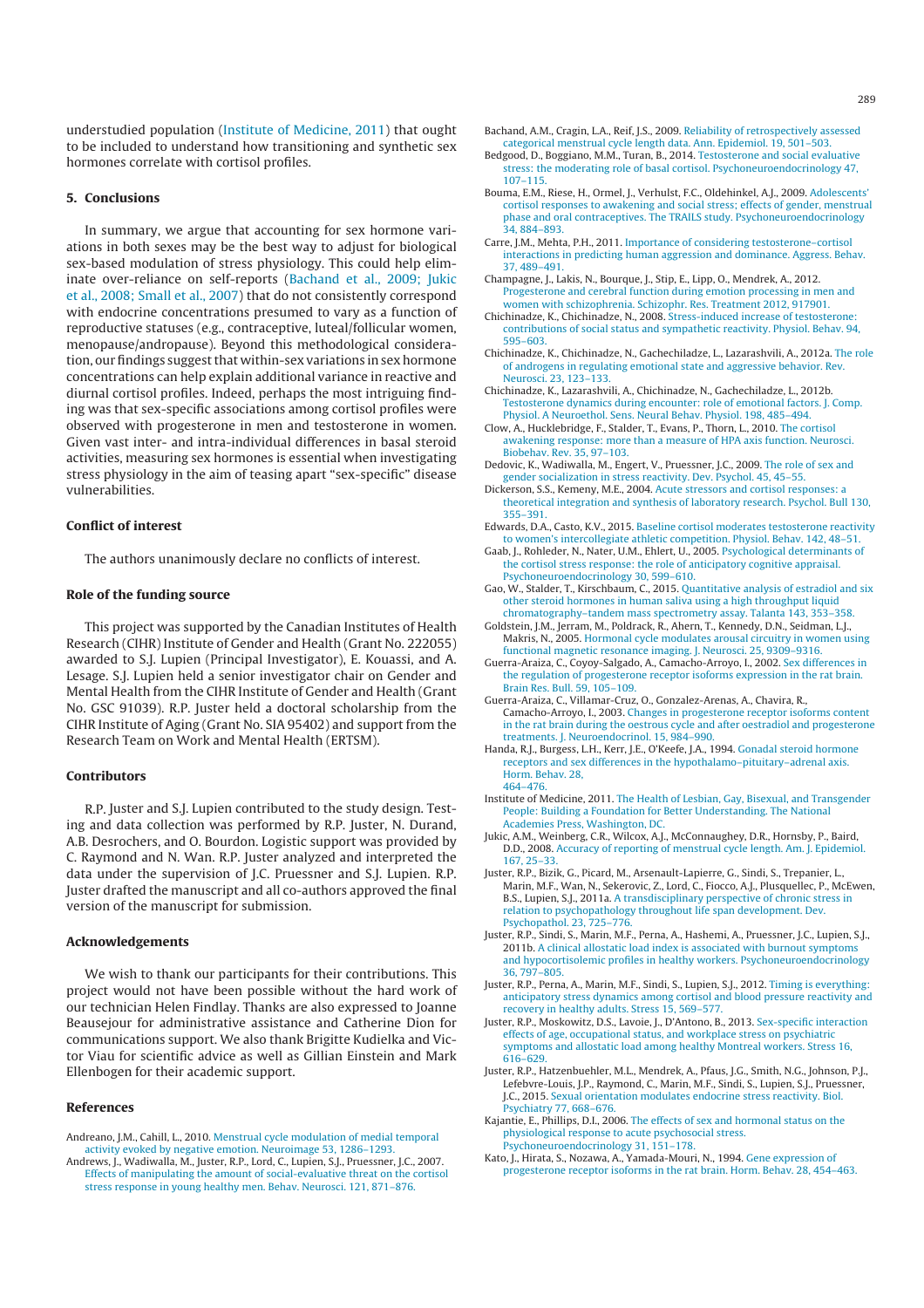understudied population (Institute of Medicine, 2011) that ought to be included to understand how transitioning and synthetic sex hormones correlate with cortisol profiles.

### **5. Conclusions**

In summary, we argue that accounting for sex hormone variations in both sexes may be the best way to adjust for biological sex-based modulation of stress physiology. This could help eliminate over-reliance on self-reports (Bachand et al., 2009; Jukic et al., 2008; Small et al., 2007) that do not consistently correspond with endocrine concentrations presumed to vary as a function of reproductive statuses (e.g., contraceptive, luteal/follicular women, menopause/andropause). Beyond this methodological consideration, our findings suggest that within-sex variations in sex hormone concentrations can help explain additional variance in reactive and diurnal cortisol profiles. Indeed, perhaps the most intriguing finding was that sex-specific associations among cortisol profiles were observed with progesterone in men and testosterone in women. Given vast inter- and intra-individual differences in basal steroid activities, measuring sex hormones is essential when investigating stress physiology in the aim of teasing apart "sex-specific" disease vulnerabilities.

#### **Conflict of interest**

The authors unanimously declare no conflicts of interest.

## **Role of the funding source**

This project was supported by the Canadian Institutes of Health Research (CIHR) Institute of Gender and Health (Grant No. 222055) awarded to S.J. Lupien (Principal Investigator), E. Kouassi, and A. Lesage. S.J. Lupien held a senior investigator chair on Gender and Mental Health from the CIHR Institute of Gender and Health (Grant No. GSC 91039). R.P. Juster held a doctoral scholarship from the CIHR Institute of Aging (Grant No. SIA 95402) and support from the Research Team on Work and Mental Health (ERTSM).

# **Contributors**

R.P. Juster and S.J. Lupien contributed to the study design. Testing and data collection was performed by R.P. Juster, N. Durand, A.B. Desrochers, and O. Bourdon. Logistic support was provided by C. Raymond and N. Wan. R.P. Juster analyzed and interpreted the data under the supervision of J.C. Pruessner and S.J. Lupien. R.P. Juster drafted the manuscript and all co-authors approved the final version of the manuscript for submission.

# **Acknowledgements**

We wish to thank our participants for their contributions. This project would not have been possible without the hard work of our technician Helen Findlay. Thanks are also expressed to Joanne Beausejour for administrative assistance and Catherine Dion for communications support. We also thank Brigitte Kudielka and Victor Viau for scientific advice as well as Gillian Einstein and Mark Ellenbogen for their academic support.

#### **References**

- Andreano, J.M., Cahill, L., 2010. Menstrual cycle modulation of medial temporal activity evoked by negative emotion. Neuroimage 53, 1286–1293.
- Andrews, J., Wadiwalla, M., Juster, R.P., Lord, C., Lupien, S.J., Pruessner, J.C., 2007. Effects of manipulating the amount of social-evaluative threat on the cortisol stress response in young healthy men. Behav. Neurosci. 121, 871–876.
- Bachand, A.M., Cragin, L.A., Reif, J.S., 2009. Reliability of retrospectively assessed categorical menstrual cycle length data. Ann. Epidemiol. 19, 501–503.
- Bedgood, D., Boggiano, M.M., Turan, B., 2014. Testosterone and social evaluative stress: the moderating role of basal cortisol. Psychoneuroendocrinology 47, 107–115.
- Bouma, E.M., Riese, H., Ormel, J., Verhulst, F.C., Oldehinkel, A.J., 2009. Adolescents' cortisol responses to awakening and social stress; effects of gender, menstrual phase and oral contraceptives. The TRAILS study. Psychoneuroendocrinology 34, 884–893.
- Carre, J.M., Mehta, P.H., 2011. Importance of considering testosterone–cortisol interactions in predicting human aggression and dominance. Aggress. Behav. 37, 489–491.
- Champagne, J., Lakis, N., Bourque, J., Stip, E., Lipp, O., Mendrek, A., 2012. Progesterone and cerebral function during emotion processing in men and women with schizophrenia. Schizophr. Res. Treatment 2012, 917901.
- Chichinadze, K., Chichinadze, N., 2008. Stress-induced increase of testosterone: contributions of social status and sympathetic reactivity. Physiol. Behav. 94, 595–603.
- Chichinadze, K., Chichinadze, N., Gachechiladze, L., Lazarashvili, A., 2012a. The role of androgens in regulating emotional state and aggressive behavior. Rev. Neurosci. 23, 123–133.
- Chichinadze, K., Lazarashvili, A., Chichinadze, N., Gachechiladze, L., 2012b. Testosterone dynamics during encounter: role of emotional factors. J. Comp. Physiol. A Neuroethol. Sens. Neural Behav. Physiol. 198, 485–494.
- Clow, A., Hucklebridge, F., Stalder, T., Evans, P., Thorn, L., 2010. The cortisol awakening response: more than a measure of HPA axis function. Neurosci. Biobehav. Rev. 35, 97–103.
- Dedovic, K., Wadiwalla, M., Engert, V., Pruessner, J.C., 2009. The role of sex and gender socialization in stress reactivity. Dev. Psychol. 45, 45–55.
- Dickerson, S.S., Kemeny, M.E., 2004. Acute stressors and cortisol responses: a theoretical integration and synthesis of laboratory research. Psychol. Bull 130, 355–391.
- Edwards, D.A., Casto, K.V., 2015. Baseline cortisol moderates testosterone reactivity to women's intercollegiate athletic competition. Physiol. Behav. 142, 48–51.
- Gaab, J., Rohleder, N., Nater, U.M., Ehlert, U., 2005. Psychological determinants of the cortisol stress response: the role of anticipatory cognitive appraisal. Psychoneuroendocrinology 30, 599–610.
- Gao, W., Stalder, T., Kirschbaum, C., 2015. Quantitative analysis of estradiol and six other steroid hormones in human saliva using a high throughput liquid chromatography–tandem mass spectrometry assay. Talanta 143, 353–358.
- Goldstein, J.M., Jerram, M., Poldrack, R., Ahern, T., Kennedy, D.N., Seidman, L.J., Makris, N., 2005. Hormonal cycle modulates arousal circuitry in women using functional magnetic resonance imaging. J. Neurosci. 25, 9309–9316.
- Guerra-Araiza, C., Coyoy-Salgado, A., Camacho-Arroyo, I., 2002. Sex differences in the regulation of progesterone receptor isoforms expression in the rat brain. Brain Res. Bull. 59, 105–109.
- Guerra-Araiza, C., Villamar-Cruz, O., Gonzalez-Arenas, A., Chavira, R., Camacho-Arroyo, I., 2003. Changes in progesterone receptor isoforms content in the rat brain during the oestrous cycle and after oestradiol and progesterone treatments. J. Neuroendocrinol. 15, 984–990.
- Handa, R.J., Burgess, L.H., Kerr, J.E., O'Keefe, J.A., 1994. Gonadal steroid hormone receptors and sex differences in the hypothalamo–pituitary–adrenal axis. Horm. Behav. 28, 464–476.
- Institute of Medicine, 2011. The Health of Lesbian, Gay, Bisexual, and Transgender People: Building a Foundation for Better Understanding. The National Academies Press, Washington, DC.
- Jukic, A.M., Weinberg, C.R., Wilcox, A.J., McConnaughey, D.R., Hornsby, P., Baird, D.D., 2008. Accuracy of reporting of menstrual cycle length. Am. J. Epidemiol. 167, 25–33.
- Juster, R.P., Bizik, G., Picard, M., Arsenault-Lapierre, G., Sindi, S., Trepanier, L., Marin, M.F., Wan, N., Sekerovic, Z., Lord, C., Fiocco, A.J., Plusquellec, P., McEwen, B.S., Lupien, S.J., 2011a. A transdisciplinary perspective of chronic stress in relation to psychopathology throughout life span development. Dev. Psychopathol. 23, 725–776.
- Juster, R.P., Sindi, S., Marin, M.F., Perna, A., Hashemi, A., Pruessner, J.C., Lupien, S.J., 2011b. A clinical allostatic load index is associated with burnout symptoms and hypocortisolemic profiles in healthy workers. Psychoneuroendocrinology 36, 797–805.
- Juster, R.P., Perna, A., Marin, M.F., Sindi, S., Lupien, S.J., 2012. Timing is everything: anticipatory stress dynamics among cortisol and blood pressure reactivity and recovery in healthy adults. Stress 15, 569–577.
- Juster, R.P., Moskowitz, D.S., Lavoie, J., D'Antono, B., 2013. Sex-specific interaction effects of age, occupational status, and workplace stress on psychiatric symptoms and allostatic load among healthy Montreal workers. Stress 16, 616–629.
- Juster, R.P., Hatzenbuehler, M.L., Mendrek, A., Pfaus, J.G., Smith, N.G., Johnson, P.J., Lefebvre-Louis, J.P., Raymond, C., Marin, M.F., Sindi, S., Lupien, S.J., Pruessner, J.C., 2015. Sexual orientation modulates endocrine stress reactivity. Biol. Psychiatry 77, 668–676.
- Kajantie, E., Phillips, D.I., 2006. The effects of sex and hormonal status on the physiological response to acute psychosocial stress. Psychoneuroendocrinology 31, 151–178.
- Kato, J., Hirata, S., Nozawa, A., Yamada-Mouri, N., 1994. Gene expression of progesterone receptor isoforms in the rat brain. Horm. Behav. 28, 454–463.